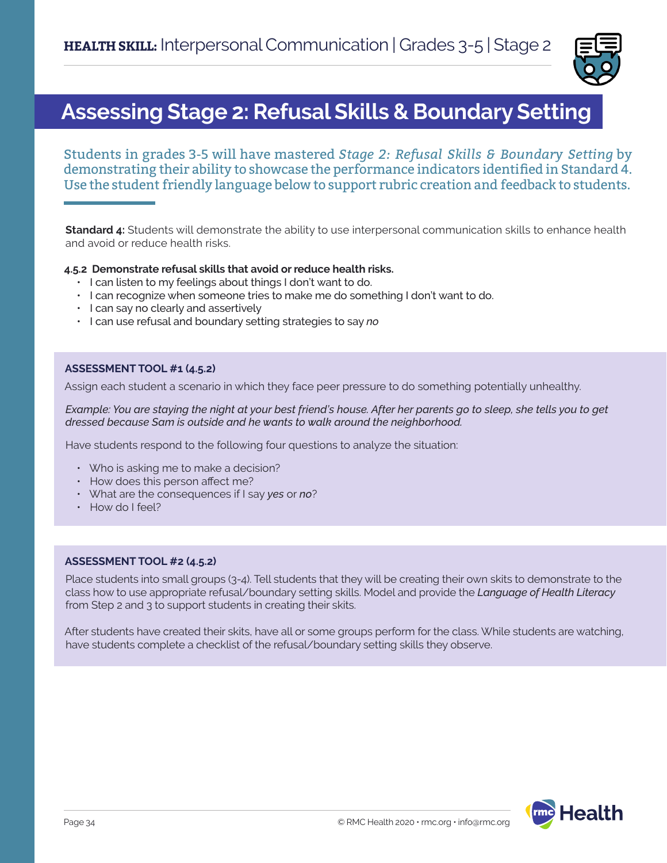

# **Assessing Stage 2: Refusal Skills & Boundary Setting**

Students in grades 3-5 will have mastered *Stage 2: Refusal Skills & Boundary Setting* by demonstrating their ability to showcase the performance indicators identified in Standard 4. Use the student friendly language below to support rubric creation and feedback to students.

**Standard 4:** Students will demonstrate the ability to use interpersonal communication skills to enhance health and avoid or reduce health risks.

### **4.5.2 Demonstrate refusal skills that avoid or reduce health risks.**

- I can listen to my feelings about things I don't want to do.
- I can recognize when someone tries to make me do something I don't want to do.
- I can say no clearly and assertively
- I can use refusal and boundary setting strategies to say *no*

### **ASSESSMENT TOOL #1 (4.5.2)**

Assign each student a scenario in which they face peer pressure to do something potentially unhealthy.

*Example: You are staying the night at your best friend's house. After her parents go to sleep, she tells you to get dressed because Sam is outside and he wants to walk around the neighborhood.* 

Have students respond to the following four questions to analyze the situation:

- Who is asking me to make a decision?
- How does this person affect me?
- What are the consequences if I say *yes* or *no*?
- How do I feel?

#### **ASSESSMENT TOOL #2 (4.5.2)**

Place students into small groups (3-4). Tell students that they will be creating their own skits to demonstrate to the class how to use appropriate refusal/boundary setting skills. Model and provide the *Language of Health Literacy* from Step 2 and 3 to support students in creating their skits.

After students have created their skits, have all or some groups perform for the class. While students are watching, have students complete a checklist of the refusal/boundary setting skills they observe.

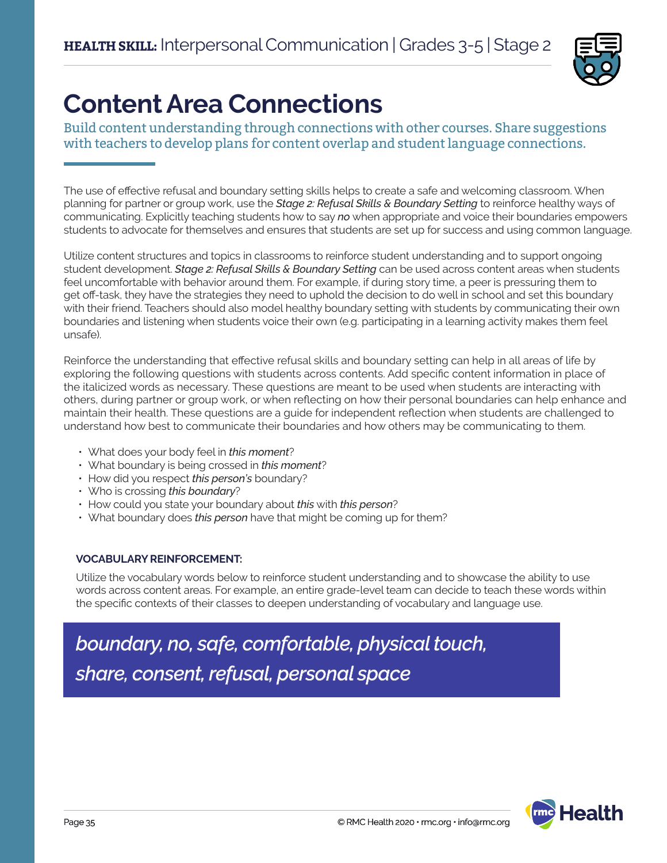

# **Content Area Connections**

Build content understanding through connections with other courses. Share suggestions with teachers to develop plans for content overlap and student language connections.

The use of effective refusal and boundary setting skills helps to create a safe and welcoming classroom. When planning for partner or group work, use the *Stage 2: Refusal Skills & Boundary Setting* to reinforce healthy ways of communicating. Explicitly teaching students how to say *no* when appropriate and voice their boundaries empowers students to advocate for themselves and ensures that students are set up for success and using common language.

Utilize content structures and topics in classrooms to reinforce student understanding and to support ongoing student development. *Stage 2: Refusal Skills & Boundary Setting* can be used across content areas when students feel uncomfortable with behavior around them. For example, if during story time, a peer is pressuring them to get off-task, they have the strategies they need to uphold the decision to do well in school and set this boundary with their friend. Teachers should also model healthy boundary setting with students by communicating their own boundaries and listening when students voice their own (e.g. participating in a learning activity makes them feel unsafe).

Reinforce the understanding that effective refusal skills and boundary setting can help in all areas of life by exploring the following questions with students across contents. Add specific content information in place of the italicized words as necessary. These questions are meant to be used when students are interacting with others, during partner or group work, or when reflecting on how their personal boundaries can help enhance and maintain their health. These questions are a guide for independent reflection when students are challenged to understand how best to communicate their boundaries and how others may be communicating to them.

- What does your body feel in *this moment*?
- What boundary is being crossed in *this moment*?
- How did you respect *this person's* boundary?
- Who is crossing *this boundary*?
- How could you state your boundary about *this* with *this person*?
- What boundary does *this person* have that might be coming up for them?

## **VOCABULARY REINFORCEMENT:**

Utilize the vocabulary words below to reinforce student understanding and to showcase the ability to use words across content areas. For example, an entire grade-level team can decide to teach these words within the specific contexts of their classes to deepen understanding of vocabulary and language use.

*boundary, no, safe, comfortable, physical touch, share, consent, refusal, personal space*